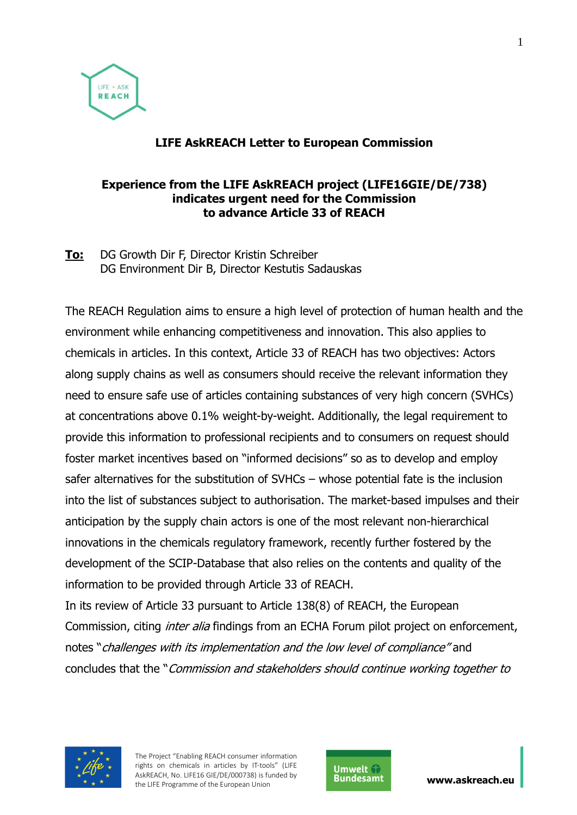

## **LIFE AskREACH Letter to European Commission**

#### **Experience from the LIFE AskREACH project (LIFE16GIE/DE/738) indicates urgent need for the Commission to advance Article 33 of REACH**

**To:** DG Growth Dir F, Director Kristin Schreiber DG Environment Dir B, Director Kestutis Sadauskas

The REACH Regulation aims to ensure a high level of protection of human health and the environment while enhancing competitiveness and innovation. This also applies to chemicals in articles. In this context, Article 33 of REACH has two objectives: Actors along supply chains as well as consumers should receive the relevant information they need to ensure safe use of articles containing substances of very high concern (SVHCs) at concentrations above 0.1% weight-by-weight. Additionally, the legal requirement to provide this information to professional recipients and to consumers on request should foster market incentives based on "informed decisions" so as to develop and employ safer alternatives for the substitution of SVHCs – whose potential fate is the inclusion into the list of substances subject to authorisation. The market-based impulses and their anticipation by the supply chain actors is one of the most relevant non-hierarchical innovations in the chemicals regulatory framework, recently further fostered by the development of the SCIP-Database that also relies on the contents and quality of the information to be provided through Article 33 of REACH.

In its review of Article 33 pursuant to Article 138(8) of REACH, the European Commission, citing *inter alia* findings from an ECHA Forum pilot project on enforcement, notes "challenges with its implementation and the low level of compliance" and concludes that the "Commission and stakeholders should continue working together to



The Project "Enabling REACH consumer information rights on chemicals in articles by IT-tools" (LIFE AskREACH, No. LIFE16 GIE/DE/000738) is funded by AskREACH, No. LIFE16 GIE/DE/000738) is funded by **Bundesamt www.askreach.eu**<br>the LIFE Programme of the European Union

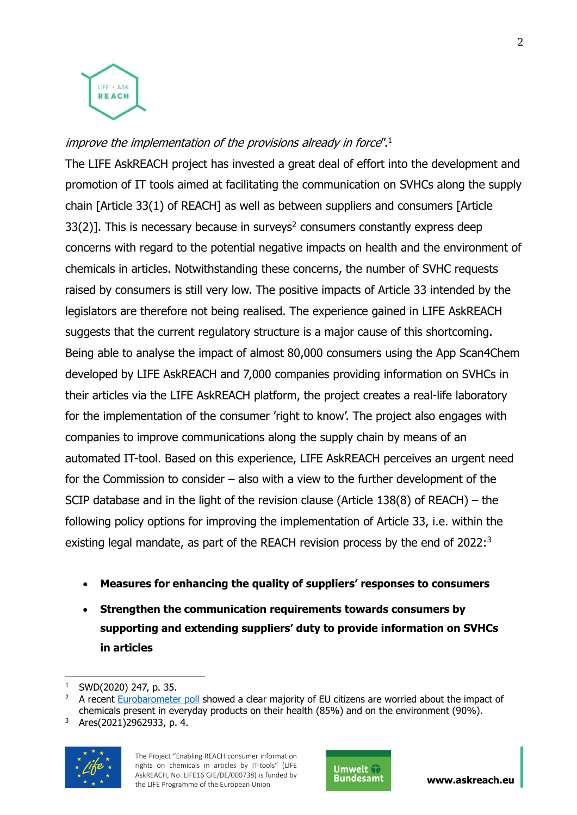

# improve the implementation of the provisions already in force".<sup>1</sup>

The LIFE AskREACH project has invested a great deal of effort into the development and promotion of IT tools aimed at facilitating the communication on SVHCs along the supply chain [Article 33(1) of REACH] as well as between suppliers and consumers [Article  $33(2)$ ]. This is necessary because in surveys<sup>2</sup> consumers constantly express deep concerns with regard to the potential negative impacts on health and the environment of chemicals in articles. Notwithstanding these concerns, the number of SVHC requests raised by consumers is still very low. The positive impacts of Article 33 intended by the legislators are therefore not being realised. The experience gained in LIFE AskREACH suggests that the current regulatory structure is a major cause of this shortcoming. Being able to analyse the impact of almost 80,000 consumers using the App Scan4Chem developed by LIFE AskREACH and 7,000 companies providing information on SVHCs in their articles via the LIFE AskREACH platform, the project creates a real-life laboratory for the implementation of the consumer 'right to know'. The project also engages with companies to improve communications along the supply chain by means of an automated IT-tool. Based on this experience, LIFE AskREACH perceives an urgent need for the Commission to consider – also with a view to the further development of the SCIP database and in the light of the revision clause (Article 138(8) of REACH) – the following policy options for improving the implementation of Article 33, i.e. within the existing legal mandate, as part of the REACH revision process by the end of 2022:<sup>3</sup>

- **Measures for enhancing the quality of suppliers' responses to consumers**
- **Strengthen the communication requirements towards consumers by supporting and extending suppliers' duty to provide information on SVHCs in articles**

<sup>3</sup> Ares(2021)2962933, p. 4.





<sup>&</sup>lt;u>.</u> SWD(2020) 247, p. 35.

A recent [Eurobarometer poll](https://data.europa.eu/euodp/en/data/dataset/S2257_92_4_501_ENG) showed a clear majority of EU citizens are worried about the impact of chemicals present in everyday products on their health (85%) and on the environment (90%).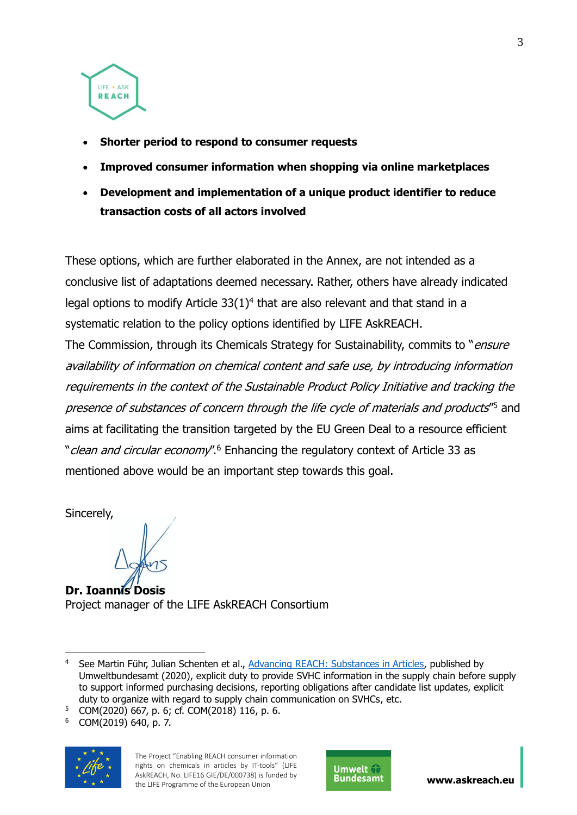

- **Shorter period to respond to consumer requests**
- **Improved consumer information when shopping via online marketplaces**
- **Development and implementation of a unique product identifier to reduce transaction costs of all actors involved**

These options, which are further elaborated in the Annex, are not intended as a conclusive list of adaptations deemed necessary. Rather, others have already indicated legal options to modify Article  $33(1)^4$  that are also relevant and that stand in a systematic relation to the policy options identified by LIFE AskREACH.

The Commission, through its Chemicals Strategy for Sustainability, commits to "*ensure* availability of information on chemical content and safe use, by introducing information requirements in the context of the Sustainable Product Policy Initiative and tracking the presence of substances of concern through the life cycle of materials and products"<sup>5</sup> and aims at facilitating the transition targeted by the EU Green Deal to a resource efficient "*clean and circular economy*".<sup>6</sup> Enhancing the regulatory context of Article 33 as mentioned above would be an important step towards this goal.

Sincerely,

**Dr. Ioannis Dosis**  Project manager of the LIFE AskREACH Consortium

<sup>6</sup> COM(2019) 640, p. 7.





<sup>1</sup> See Martin Führ, Julian Schenten et al., [Advancing REACH: Substances in Articles,](https://www.umweltbundesamt.de/en/publikationen/advancing-reach-substances-in-articles) published by Umweltbundesamt (2020), explicit duty to provide SVHC information in the supply chain before supply to support informed purchasing decisions, reporting obligations after candidate list updates, explicit duty to organize with regard to supply chain communication on SVHCs, etc.

<sup>5</sup> COM(2020) 667, p. 6; cf. COM(2018) 116, p. 6.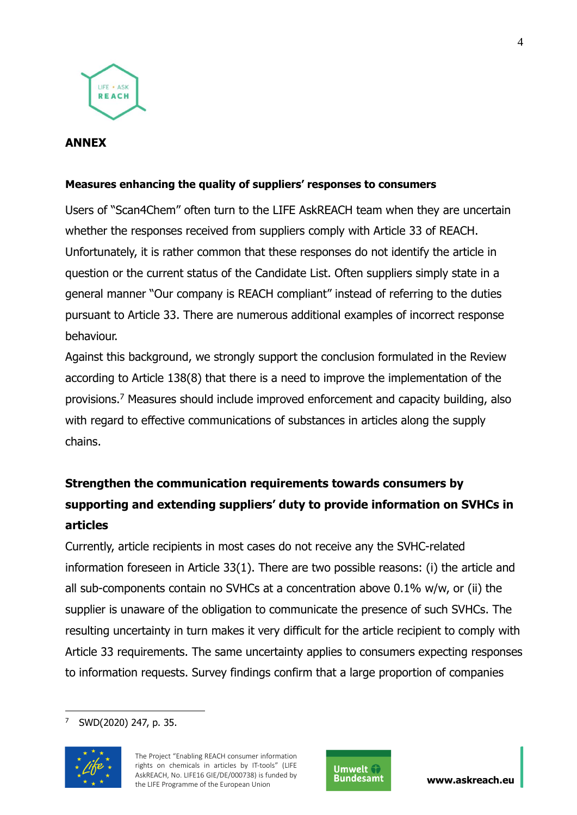

#### **ANNEX**

#### **Measures enhancing the quality of suppliers' responses to consumers**

Users of "Scan4Chem" often turn to the LIFE AskREACH team when they are uncertain whether the responses received from suppliers comply with Article 33 of REACH. Unfortunately, it is rather common that these responses do not identify the article in question or the current status of the Candidate List. Often suppliers simply state in a general manner "Our company is REACH compliant" instead of referring to the duties pursuant to Article 33. There are numerous additional examples of incorrect response behaviour.

Against this background, we strongly support the conclusion formulated in the Review according to Article 138(8) that there is a need to improve the implementation of the provisions.<sup>7</sup> Measures should include improved enforcement and capacity building, also with regard to effective communications of substances in articles along the supply chains.

# **Strengthen the communication requirements towards consumers by supporting and extending suppliers' duty to provide information on SVHCs in articles**

Currently, article recipients in most cases do not receive any the SVHC-related information foreseen in Article 33(1). There are two possible reasons: (i) the article and all sub-components contain no SVHCs at a concentration above 0.1% w/w, or (ii) the supplier is unaware of the obligation to communicate the presence of such SVHCs. The resulting uncertainty in turn makes it very difficult for the article recipient to comply with Article 33 requirements. The same uncertainty applies to consumers expecting responses to information requests. Survey findings confirm that a large proportion of companies

<sup>1</sup> <sup>7</sup> SWD(2020) 247, p. 35.



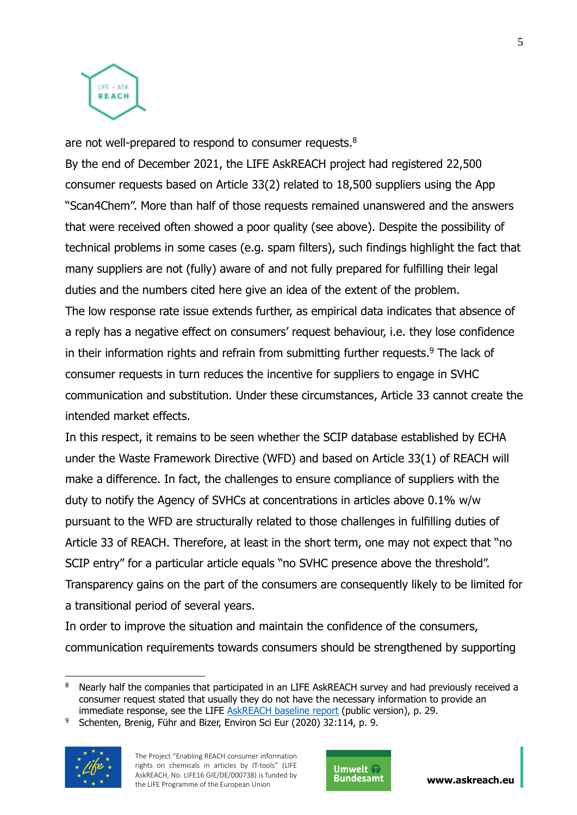

are not well-prepared to respond to consumer requests.<sup>8</sup>

By the end of December 2021, the LIFE AskREACH project had registered 22,500 consumer requests based on Article 33(2) related to 18,500 suppliers using the App "Scan4Chem". More than half of those requests remained unanswered and the answers that were received often showed a poor quality (see above). Despite the possibility of technical problems in some cases (e.g. spam filters), such findings highlight the fact that many suppliers are not (fully) aware of and not fully prepared for fulfilling their legal duties and the numbers cited here give an idea of the extent of the problem. The low response rate issue extends further, as empirical data indicates that absence of a reply has a negative effect on consumers' request behaviour, i.e. they lose confidence in their information rights and refrain from submitting further requests. $9$  The lack of consumer requests in turn reduces the incentive for suppliers to engage in SVHC communication and substitution. Under these circumstances, Article 33 cannot create the intended market effects.

In this respect, it remains to be seen whether the SCIP database established by ECHA under the Waste Framework Directive (WFD) and based on Article 33(1) of REACH will make a difference. In fact, the challenges to ensure compliance of suppliers with the duty to notify the Agency of SVHCs at concentrations in articles above 0.1% w/w pursuant to the WFD are structurally related to those challenges in fulfilling duties of Article 33 of REACH. Therefore, at least in the short term, one may not expect that "no SCIP entry" for a particular article equals "no SVHC presence above the threshold". Transparency gains on the part of the consumers are consequently likely to be limited for a transitional period of several years.

In order to improve the situation and maintain the confidence of the consumers, communication requirements towards consumers should be strengthened by supporting

<sup>9</sup> Schenten, Brenig, Führ and Bizer, Environ Sci Eur (2020) 32:114, p. 9.



<u>.</u>



<sup>&</sup>lt;sup>8</sup> Nearly half the companies that participated in an LIFE AskREACH survey and had previously received a consumer request stated that usually they do not have the necessary information to provide an immediate response, see the LIFE [AskREACH baseline report](https://www.askreach.eu/wp-content/uploads/2019/07/LIFEAskREACH_Baseline-publication_2019-07-10.pdf) (public version), p. 29.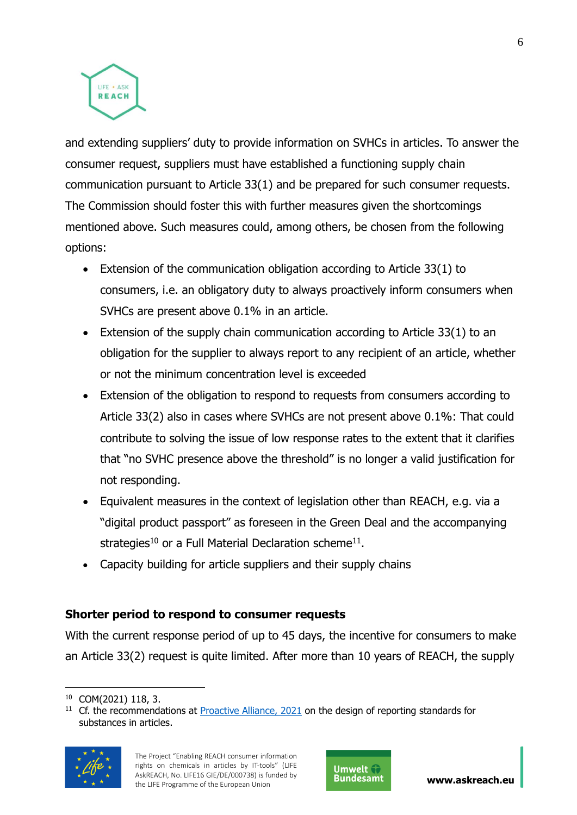

and extending suppliers' duty to provide information on SVHCs in articles. To answer the consumer request, suppliers must have established a functioning supply chain communication pursuant to Article 33(1) and be prepared for such consumer requests. The Commission should foster this with further measures given the shortcomings mentioned above. Such measures could, among others, be chosen from the following options:

- Extension of the communication obligation according to Article 33(1) to consumers, i.e. an obligatory duty to always proactively inform consumers when SVHCs are present above 0.1% in an article.
- Extension of the supply chain communication according to Article 33(1) to an obligation for the supplier to always report to any recipient of an article, whether or not the minimum concentration level is exceeded
- Extension of the obligation to respond to requests from consumers according to Article 33(2) also in cases where SVHCs are not present above 0.1%: That could contribute to solving the issue of low response rates to the extent that it clarifies that "no SVHC presence above the threshold" is no longer a valid justification for not responding.
- Equivalent measures in the context of legislation other than REACH, e.g. via a "digital product passport" as foreseen in the Green Deal and the accompanying strategies<sup>10</sup> or a Full Material Declaration scheme<sup>11</sup>.
- Capacity building for article suppliers and their supply chains

# **Shorter period to respond to consumer requests**

With the current response period of up to 45 days, the incentive for consumers to make an Article 33(2) request is quite limited. After more than 10 years of REACH, the supply

 $11$  Cf. the recommendations at [Proactive Alliance, 2021](https://www.proactive-alliance.info/fileadmin/Proactive_Alliance/Proactive_Alliance_Discussion_Paper_with_Technical_Recommendations_January_2021.pdf) on the design of reporting standards for substances in articles.





<sup>&</sup>lt;u>.</u> <sup>10</sup> COM(2021) 118, 3.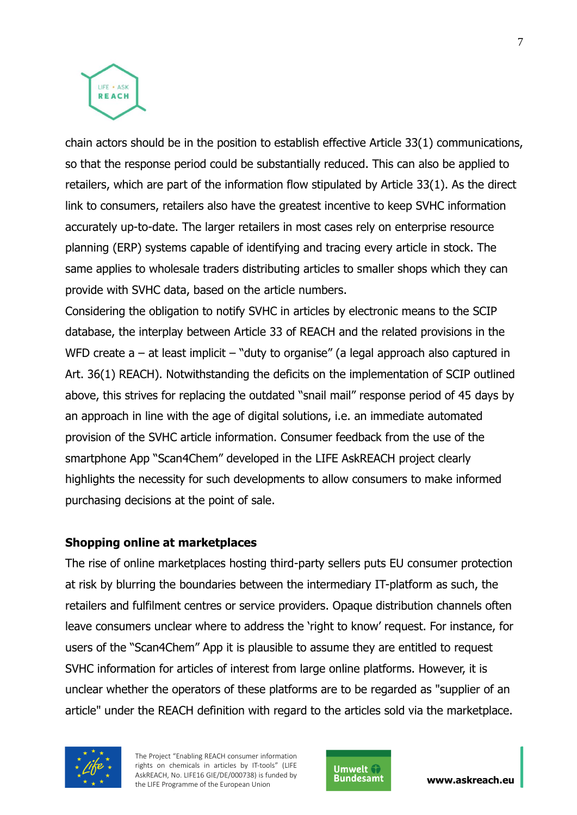

chain actors should be in the position to establish effective Article 33(1) communications, so that the response period could be substantially reduced. This can also be applied to retailers, which are part of the information flow stipulated by Article 33(1). As the direct link to consumers, retailers also have the greatest incentive to keep SVHC information accurately up-to-date. The larger retailers in most cases rely on enterprise resource planning (ERP) systems capable of identifying and tracing every article in stock. The same applies to wholesale traders distributing articles to smaller shops which they can provide with SVHC data, based on the article numbers.

Considering the obligation to notify SVHC in articles by electronic means to the SCIP database, the interplay between Article 33 of REACH and the related provisions in the WFD create  $a - at$  least implicit  $-$  "duty to organise" (a legal approach also captured in Art. 36(1) REACH). Notwithstanding the deficits on the implementation of SCIP outlined above, this strives for replacing the outdated "snail mail" response period of 45 days by an approach in line with the age of digital solutions, i.e. an immediate automated provision of the SVHC article information. Consumer feedback from the use of the smartphone App "Scan4Chem" developed in the LIFE AskREACH project clearly highlights the necessity for such developments to allow consumers to make informed purchasing decisions at the point of sale.

#### **Shopping online at marketplaces**

The rise of online marketplaces hosting third-party sellers puts EU consumer protection at risk by blurring the boundaries between the intermediary IT-platform as such, the retailers and fulfilment centres or service providers. Opaque distribution channels often leave consumers unclear where to address the 'right to know' request. For instance, for users of the "Scan4Chem" App it is plausible to assume they are entitled to request SVHC information for articles of interest from large online platforms. However, it is unclear whether the operators of these platforms are to be regarded as "supplier of an article" under the REACH definition with regard to the articles sold via the marketplace.



The Project "Enabling REACH consumer information rights on chemicals in articles by IT-tools" (LIFE AskREACH, No. LIFE16 GIE/DE/000738) is funded by AskREACH, No. LIFE16 GIE/DE/000738) is funded by **www.askreach.eu**<br>the LIFE Programme of the European Union



7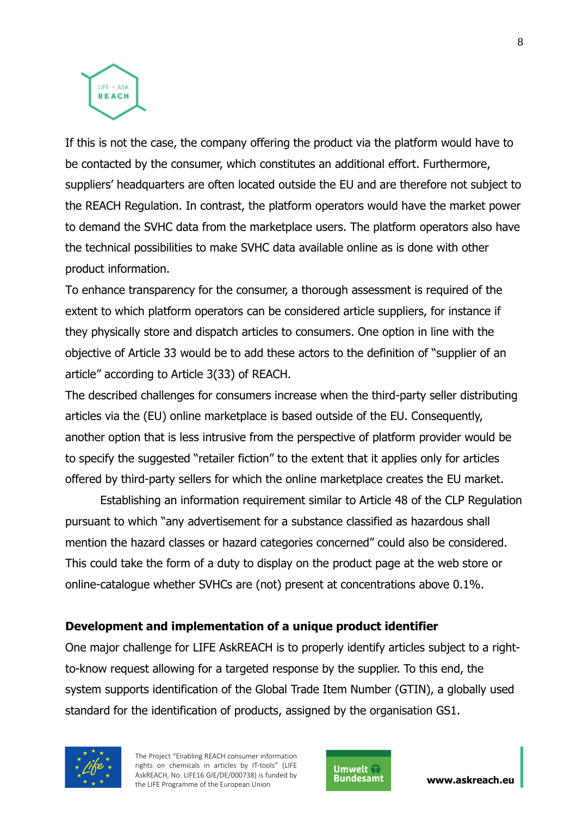

If this is not the case, the company offering the product via the platform would have to be contacted by the consumer, which constitutes an additional effort. Furthermore, suppliers' headquarters are often located outside the EU and are therefore not subject to the REACH Regulation. In contrast, the platform operators would have the market power to demand the SVHC data from the marketplace users. The platform operators also have the technical possibilities to make SVHC data available online as is done with other product information.

Τo enhance transparency for the consumer, a thorough assessment is required of the extent to which platform operators can be considered article suppliers, for instance if they physically store and dispatch articles to consumers. One option in line with the objective of Article 33 would be to add these actors to the definition of "supplier of an article" according to Article 3(33) of REACH.

The described challenges for consumers increase when the third-party seller distributing articles via the (EU) online marketplace is based outside of the EU. Consequently, another option that is less intrusive from the perspective of platform provider would be to specify the suggested "retailer fiction" to the extent that it applies only for articles offered by third-party sellers for which the online marketplace creates the EU market.

Establishing an information requirement similar to Article 48 of the CLP Regulation pursuant to which "any advertisement for a substance classified as hazardous shall mention the hazard classes or hazard categories concerned" could also be considered. This could take the form of a duty to display on the product page at the web store or online-catalogue whether SVHCs are (not) present at concentrations above 0.1%.

## **Development and implementation of a unique product identifier**

One major challenge for LIFE AskREACH is to properly identify articles subject to a rightto-know request allowing for a targeted response by the supplier. To this end, the system supports identification of the Global Trade Item Number (GTIN), a globally used standard for the identification of products, assigned by the organisation GS1.



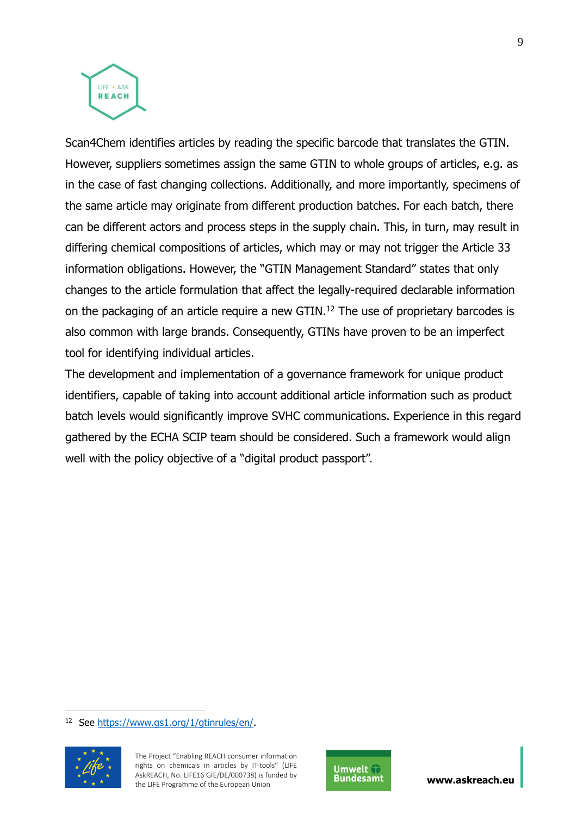

Scan4Chem identifies articles by reading the specific barcode that translates the GTIN. However, suppliers sometimes assign the same GTIN to whole groups of articles, e.g. as in the case of fast changing collections. Additionally, and more importantly, specimens of the same article may originate from different production batches. For each batch, there can be different actors and process steps in the supply chain. This, in turn, may result in differing chemical compositions of articles, which may or may not trigger the Article 33 information obligations. However, the "GTIN Management Standard" states that only changes to the article formulation that affect the legally-required declarable information on the packaging of an article require a new GTIN.<sup>12</sup> The use of proprietary barcodes is also common with large brands. Consequently, GTINs have proven to be an imperfect tool for identifying individual articles.

The development and implementation of a governance framework for unique product identifiers, capable of taking into account additional article information such as product batch levels would significantly improve SVHC communications. Experience in this regard gathered by the ECHA SCIP team should be considered. Such a framework would align well with the policy objective of a "digital product passport".

<sup>&</sup>lt;sup>12</sup> See [https://www.gs1.org/1/gtinrules/en/.](https://www.gs1.org/1/gtinrules/en/)



1